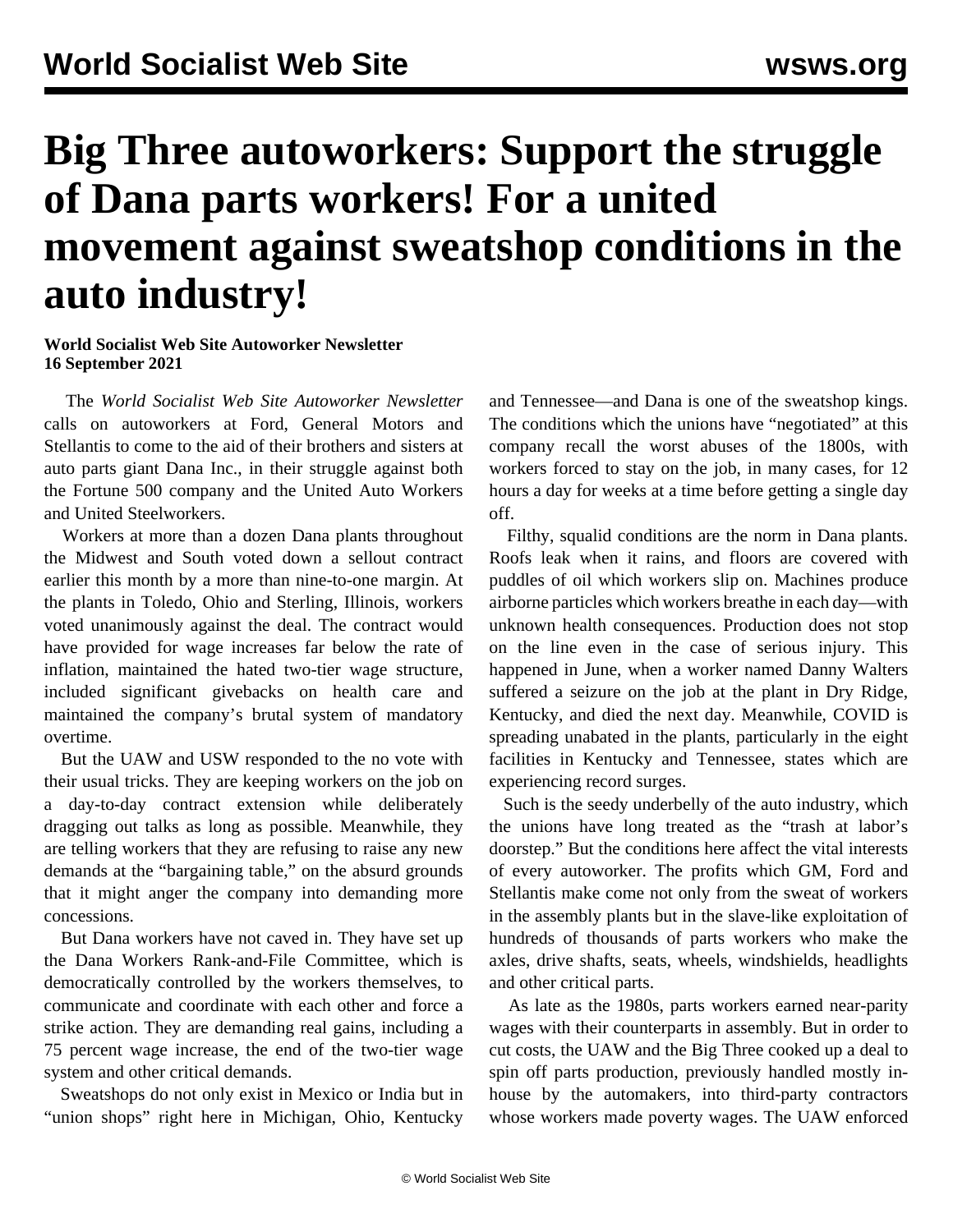## **Big Three autoworkers: Support the struggle of Dana parts workers! For a united movement against sweatshop conditions in the auto industry!**

## **World Socialist Web Site Autoworker Newsletter 16 September 2021**

 The *World Socialist Web Site Autoworker Newsletter* calls on autoworkers at Ford, General Motors and Stellantis to come to the aid of their brothers and sisters at auto parts giant Dana Inc., in their struggle against both the Fortune 500 company and the United Auto Workers and United Steelworkers.

 Workers at more than a dozen Dana plants throughout the Midwest and South voted down a sellout contract earlier this month by a more than nine-to-one margin. At the plants in Toledo, Ohio and Sterling, Illinois, workers voted unanimously against the deal. The contract would have provided for wage increases far below the rate of inflation, maintained the hated two-tier wage structure, included significant givebacks on health care and maintained the company's brutal system of mandatory overtime.

 But the UAW and USW responded to the no vote with their usual tricks. They are keeping workers on the job on a day-to-day contract extension while deliberately dragging out talks as long as possible. Meanwhile, they are telling workers that they are refusing to raise any new demands at the "bargaining table," on the absurd grounds that it might anger the company into demanding more concessions.

 But Dana workers have not caved in. They have set up the Dana Workers Rank-and-File Committee, which is democratically controlled by the workers themselves, to communicate and coordinate with each other and force a strike action. They are demanding real gains, including a 75 percent wage increase, the end of the two-tier wage system and other critical demands.

 Sweatshops do not only exist in Mexico or India but in "union shops" right here in Michigan, Ohio, Kentucky and Tennessee—and Dana is one of the sweatshop kings. The conditions which the unions have "negotiated" at this company recall the worst abuses of the 1800s, with workers forced to stay on the job, in many cases, for 12 hours a day for weeks at a time before getting a single day off.

 Filthy, squalid conditions are the norm in Dana plants. Roofs leak when it rains, and floors are covered with puddles of oil which workers slip on. Machines produce airborne particles which workers breathe in each day—with unknown health consequences. Production does not stop on the line even in the case of serious injury. This happened in June, when a worker named Danny Walters suffered a seizure on the job at the plant in Dry Ridge, Kentucky, and died the next day. Meanwhile, COVID is spreading unabated in the plants, particularly in the eight facilities in Kentucky and Tennessee, states which are experiencing record surges.

 Such is the seedy underbelly of the auto industry, which the unions have long treated as the "trash at labor's doorstep." But the conditions here affect the vital interests of every autoworker. The profits which GM, Ford and Stellantis make come not only from the sweat of workers in the assembly plants but in the slave-like exploitation of hundreds of thousands of parts workers who make the axles, drive shafts, seats, wheels, windshields, headlights and other critical parts.

 As late as the 1980s, parts workers earned near-parity wages with their counterparts in assembly. But in order to cut costs, the UAW and the Big Three cooked up a deal to spin off parts production, previously handled mostly inhouse by the automakers, into third-party contractors whose workers made poverty wages. The UAW enforced